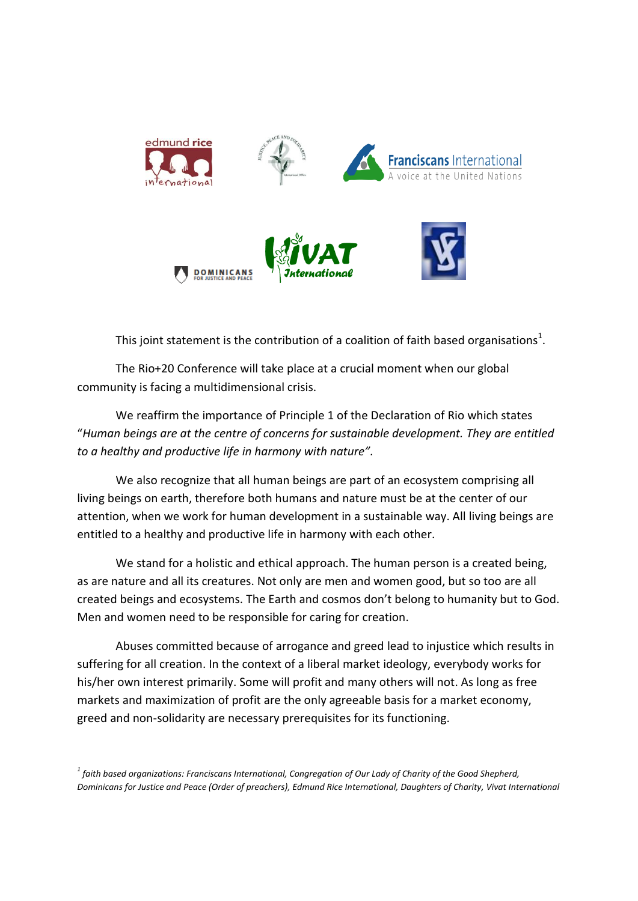

This joint statement is the contribution of a coalition of faith based organisations<sup>1</sup>.

The Rio+20 Conference will take place at a crucial moment when our global community is facing a multidimensional crisis.

We reaffirm the importance of Principle 1 of the Declaration of Rio which states "*Human beings are at the centre of concerns for sustainable development. They are entitled to a healthy and productive life in harmony with nature".*

We also recognize that all human beings are part of an ecosystem comprising all living beings on earth, therefore both humans and nature must be at the center of our attention, when we work for human development in a sustainable way. All living beings are entitled to a healthy and productive life in harmony with each other.

We stand for a holistic and ethical approach. The human person is a created being, as are nature and all its creatures. Not only are men and women good, but so too are all created beings and ecosystems. The Earth and cosmos don't belong to humanity but to God. Men and women need to be responsible for caring for creation.

Abuses committed because of arrogance and greed lead to injustice which results in suffering for all creation. In the context of a liberal market ideology, everybody works for his/her own interest primarily. Some will profit and many others will not. As long as free markets and maximization of profit are the only agreeable basis for a market economy, greed and non-solidarity are necessary prerequisites for its functioning.

*1 faith based organizations: Franciscans International, Congregation of Our Lady of Charity of the Good Shepherd, Dominicans for Justice and Peace (Order of preachers), Edmund Rice International, Daughters of Charity, Vivat International*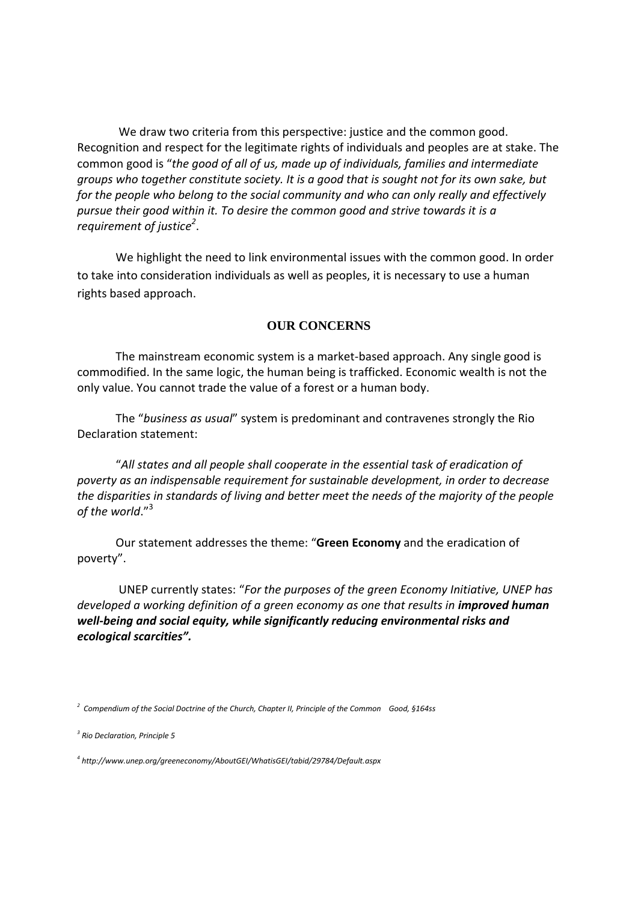We draw two criteria from this perspective: justice and the common good. Recognition and respect for the legitimate rights of individuals and peoples are at stake. The common good is "*the good of all of us, made up of individuals, families and intermediate groups who together constitute society. It is a good that is sought not for its own sake, but for the people who belong to the social community and who can only really and effectively pursue their good within it. To desire the common good and strive towards it is a requirement of justice 2* .

We highlight the need to link environmental issues with the common good. In order to take into consideration individuals as well as peoples, it is necessary to use a human rights based approach.

## **OUR CONCERNS**

The mainstream economic system is a market-based approach. Any single good is commodified. In the same logic, the human being is trafficked. Economic wealth is not the only value. You cannot trade the value of a forest or a human body.

The "*business as usual*" system is predominant and contravenes strongly the Rio Declaration statement:

"*All states and all people shall cooperate in the essential task of eradication of poverty as an indispensable requirement for sustainable development, in order to decrease the disparities in standards of living and better meet the needs of the majority of the people of the world*."<sup>3</sup>

Our statement addresses the theme: "**Green Economy** and the eradication of poverty".

UNEP currently states: "*For the purposes of the green Economy Initiative, UNEP has*  developed a working definition of a green economy as one that results in *improved human well-being and social equity, while significantly reducing environmental risks and ecological scarcities".*

*3 Rio Declaration, Principle 5*

*4 http://www.unep.org/greeneconomy/AboutGEI/WhatisGEI/tabid/29784/Default.aspx*

*<sup>2</sup> Compendium of the Social Doctrine of the Church, Chapter II, Principle of the Common Good, §164ss*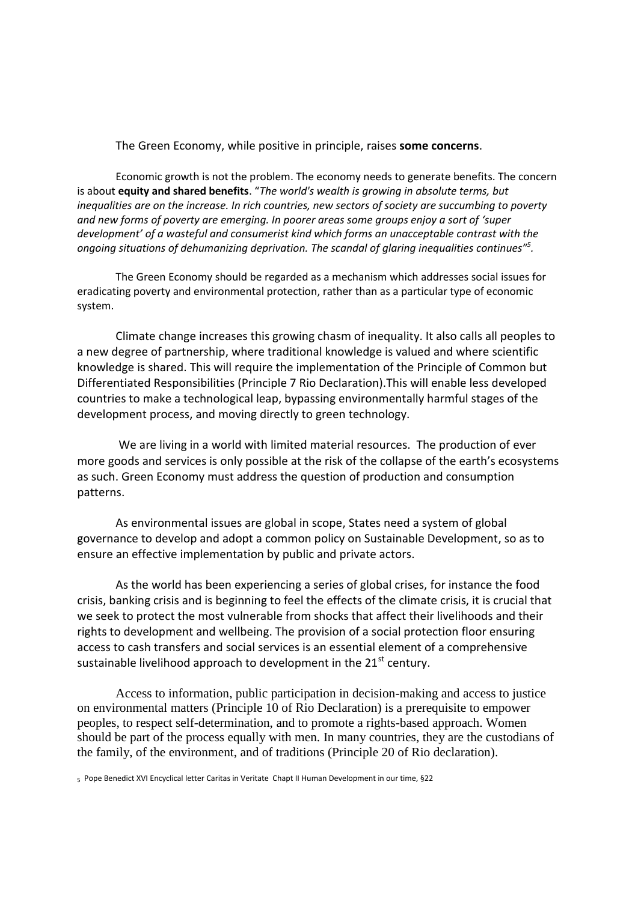## The Green Economy, while positive in principle, raises **some concerns**.

Economic growth is not the problem. The economy needs to generate benefits. The concern is about **equity and shared benefits**. "*The world's wealth is growing in absolute terms, but inequalities are on the increase. In rich countries, new sectors of society are succumbing to poverty and new forms of poverty are emerging. In poorer areas some groups enjoy a sort of 'super development' of a wasteful and consumerist kind which forms an unacceptable contrast with the ongoing situations of dehumanizing deprivation. The scandal of glaring inequalities continues" 5 .*

The Green Economy should be regarded as a mechanism which addresses social issues for eradicating poverty and environmental protection, rather than as a particular type of economic system.

Climate change increases this growing chasm of inequality. It also calls all peoples to a new degree of partnership, where traditional knowledge is valued and where scientific knowledge is shared. This will require the implementation of the Principle of Common but Differentiated Responsibilities (Principle 7 Rio Declaration).This will enable less developed countries to make a technological leap, bypassing environmentally harmful stages of the development process, and moving directly to green technology.

We are living in a world with limited material resources. The production of ever more goods and services is only possible at the risk of the collapse of the earth's ecosystems as such. Green Economy must address the question of production and consumption patterns.

As environmental issues are global in scope, States need a system of global governance to develop and adopt a common policy on Sustainable Development, so as to ensure an effective implementation by public and private actors.

As the world has been experiencing a series of global crises, for instance the food crisis, banking crisis and is beginning to feel the effects of the climate crisis, it is crucial that we seek to protect the most vulnerable from shocks that affect their livelihoods and their rights to development and wellbeing. The provision of a social protection floor ensuring access to cash transfers and social services is an essential element of a comprehensive sustainable livelihood approach to development in the  $21<sup>st</sup>$  century.

Access to information, public participation in decision-making and access to justice on environmental matters (Principle 10 of Rio Declaration) is a prerequisite to empower peoples, to respect self-determination, and to promote a rights-based approach. Women should be part of the process equally with men. In many countries, they are the custodians of the family, of the environment, and of traditions (Principle 20 of Rio declaration).

5 Pope Benedict XVI Encyclical letter Caritas in Veritate Chapt II Human Development in our time, §22